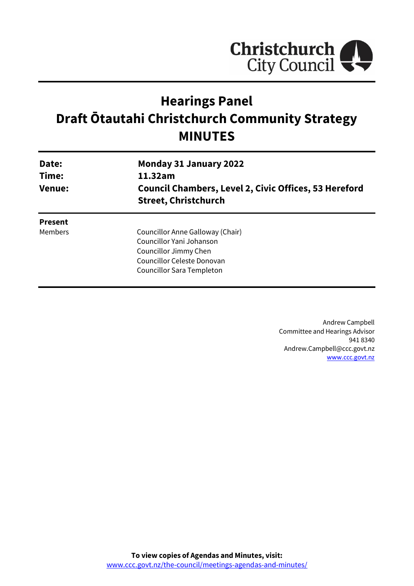

# **Hearings Panel Draft Ōtautahi Christchurch Community Strategy MINUTES**

| Date:<br>Time:<br><b>Venue:</b> | <b>Monday 31 January 2022</b><br>11.32am<br><b>Council Chambers, Level 2, Civic Offices, 53 Hereford</b><br><b>Street, Christchurch</b> |
|---------------------------------|-----------------------------------------------------------------------------------------------------------------------------------------|
| <b>Present</b>                  |                                                                                                                                         |
| Members                         | Councillor Anne Galloway (Chair)                                                                                                        |
|                                 | Councillor Yani Johanson                                                                                                                |
|                                 | Councillor Jimmy Chen                                                                                                                   |
|                                 | Councillor Celeste Donovan                                                                                                              |
|                                 | Councillor Sara Templeton                                                                                                               |

Andrew Campbell Committee and Hearings Advisor 941 8340 Andrew.Campbell@ccc.govt.nz [www.ccc.govt.nz](http://www.ccc.govt.nz/)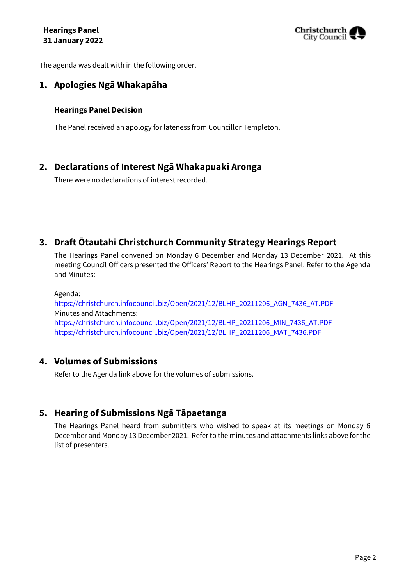

The agenda was dealt with in the following order.

## **1. Apologies Ngā Whakapāha**

#### **Hearings Panel Decision**

The Panel received an apology for lateness from Councillor Templeton.

## **2. Declarations of Interest Ngā Whakapuaki Aronga**

There were no declarations of interest recorded.

## **3. Draft Ōtautahi Christchurch Community Strategy Hearings Report**

The Hearings Panel convened on Monday 6 December and Monday 13 December 2021. At this meeting Council Officers presented the Officers' Report to the Hearings Panel. Refer to the Agenda and Minutes:

Agenda: [https://christchurch.infocouncil.biz/Open/2021/12/BLHP\\_20211206\\_AGN\\_7436\\_AT.PDF](https://christchurch.infocouncil.biz/Open/2021/12/BLHP_20211206_AGN_7436_AT.PDF) Minutes and Attachments: [https://christchurch.infocouncil.biz/Open/2021/12/BLHP\\_20211206\\_MIN\\_7436\\_AT.PDF](https://christchurch.infocouncil.biz/Open/2021/12/BLHP_20211206_MIN_7436_AT.PDF) [https://christchurch.infocouncil.biz/Open/2021/12/BLHP\\_20211206\\_MAT\\_7436.PDF](https://christchurch.infocouncil.biz/Open/2021/12/BLHP_20211206_MAT_7436.PDF)

#### **4. Volumes of Submissions**

Refer to the Agenda link above for the volumes of submissions.

# **5. Hearing of Submissions Ngā Tāpaetanga**

The Hearings Panel heard from submitters who wished to speak at its meetings on Monday 6 December and Monday 13 December 2021. Refer to the minutes and attachments links above for the list of presenters.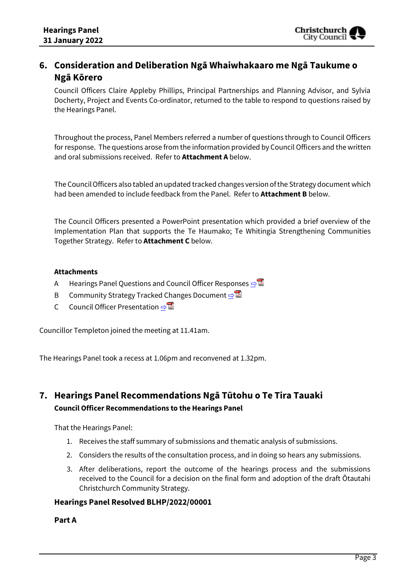## **6. Consideration and Deliberation Ngā Whaiwhakaaro me Ngā Taukume o Ngā Kōrero**

Council Officers Claire Appleby Phillips, Principal Partnerships and Planning Advisor, and Sylvia Docherty, Project and Events Co-ordinator, returned to the table to respond to questions raised by the Hearings Panel.

Throughout the process, Panel Members referred a number of questions through to Council Officers for response. The questions arose from the information provided by Council Officers and the written and oral submissions received. Refer to **Attachment A** below.

The Council Officers also tabled an updated tracked changes version of the Strategy document which had been amended to include feedback from the Panel. Refer to **Attachment B** below.

The Council Officers presented a PowerPoint presentation which provided a brief overview of the Implementation Plan that supports the Te Haumako; Te Whitingia Strengthening Communities Together Strategy. Refer to **Attachment C** below.

#### **Attachments**

- A Hearings Panel Questions and Council Officer Responses **[⇨](../../../RedirectToInvalidFileName.aspx?FileName=BLHP_20220131_MAT_7852.PDF#PAGE=3)</u>**
- B Community Strategy Tracked Changes Document **[⇨](../../../RedirectToInvalidFileName.aspx?FileName=BLHP_20220131_MAT_7852.PDF#PAGE=7)</u>**
- C Council Officer Presentation **[⇨](../../../RedirectToInvalidFileName.aspx?FileName=BLHP_20220131_MAT_7852.PDF#PAGE=43)</u>**

Councillor Templeton joined the meeting at 11.41am.

The Hearings Panel took a recess at 1.06pm and reconvened at 1.32pm.

# **7. Hearings Panel Recommendations Ngā Tūtohu o Te Tira Tauaki Council Officer Recommendations to the Hearings Panel**

That the Hearings Panel:

- 1. Receives the staff summary of submissions and thematic analysis of submissions.
- 2. Considers the results of the consultation process, and in doing so hears any submissions.
- 3. After deliberations, report the outcome of the hearings process and the submissions received to the Council for a decision on the final form and adoption of the draft Ōtautahi Christchurch Community Strategy.

#### **Hearings Panel Resolved BLHP/2022/00001**

**Part A**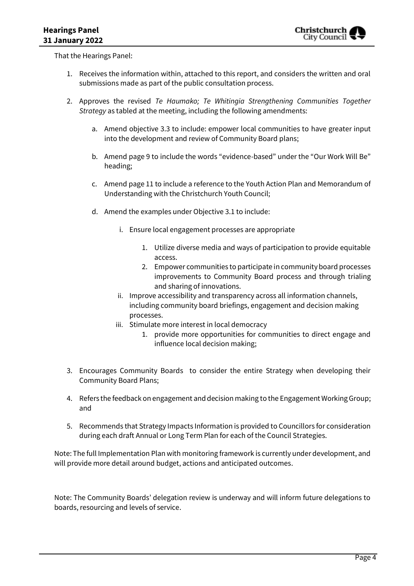That the Hearings Panel:

- 1. Receives the information within, attached to this report, and considers the written and oral submissions made as part of the public consultation process.
- 2. Approves the revised *Te Haumako; Te Whitingia Strengthening Communities Together Strategy* as tabled at the meeting, including the following amendments:
	- a. Amend objective 3.3 to include: empower local communities to have greater input into the development and review of Community Board plans;
	- b. Amend page 9 to include the words "evidence-based" under the "Our Work Will Be" heading;
	- c. Amend page 11 to include a reference to the Youth Action Plan and Memorandum of Understanding with the Christchurch Youth Council;
	- d. Amend the examples under Objective 3.1 to include:
		- i. Ensure local engagement processes are appropriate
			- 1. Utilize diverse media and ways of participation to provide equitable access.
			- 2. Empower communities to participate in community board processes improvements to Community Board process and through trialing and sharing of innovations.
		- ii. Improve accessibility and transparency across all information channels, including community board briefings, engagement and decision making processes.
		- iii. Stimulate more interest in local democracy
			- 1. provide more opportunities for communities to direct engage and influence local decision making;
- 3. Encourages Community Boards to consider the entire Strategy when developing their Community Board Plans;
- 4. Refers the feedback on engagement and decision making to the Engagement Working Group; and
- 5. Recommends that Strategy Impacts Information is provided to Councillors for consideration during each draft Annual or Long Term Plan for each of the Council Strategies.

Note: The full Implementation Plan with monitoring framework is currently under development, and will provide more detail around budget, actions and anticipated outcomes.

Note: The Community Boards' delegation review is underway and will inform future delegations to boards, resourcing and levels of service.